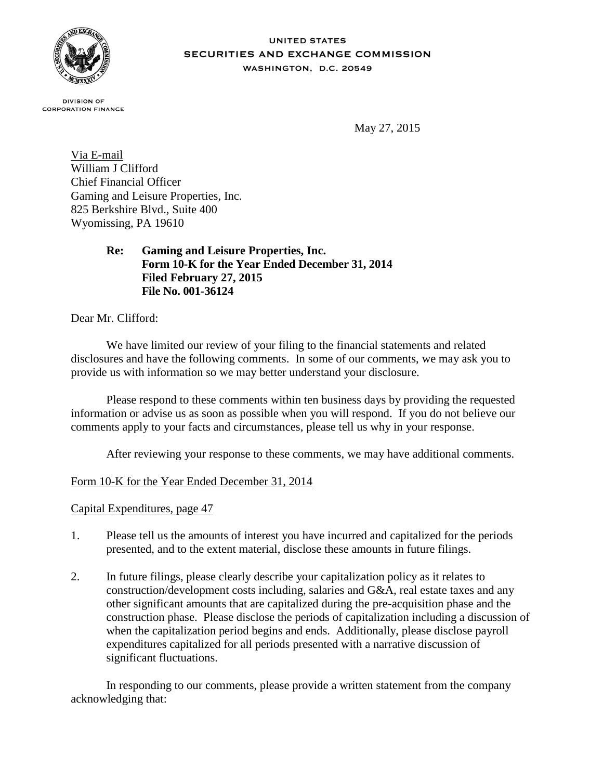

## **UNITED STATES** SECURITIES AND EXCHANGE COMMISSION WASHINGTON, D.C. 20549

**DIVISION OF CORPORATION FINANCE** 

May 27, 2015

Via E-mail William J Clifford Chief Financial Officer Gaming and Leisure Properties, Inc. 825 Berkshire Blvd., Suite 400 Wyomissing, PA 19610

> **Re: Gaming and Leisure Properties, Inc. Form 10-K for the Year Ended December 31, 2014 Filed February 27, 2015 File No. 001-36124**

Dear Mr. Clifford:

We have limited our review of your filing to the financial statements and related disclosures and have the following comments. In some of our comments, we may ask you to provide us with information so we may better understand your disclosure.

Please respond to these comments within ten business days by providing the requested information or advise us as soon as possible when you will respond. If you do not believe our comments apply to your facts and circumstances, please tell us why in your response.

After reviewing your response to these comments, we may have additional comments.

## Form 10-K for the Year Ended December 31, 2014

Capital Expenditures, page 47

- 1. Please tell us the amounts of interest you have incurred and capitalized for the periods presented, and to the extent material, disclose these amounts in future filings.
- 2. In future filings, please clearly describe your capitalization policy as it relates to construction/development costs including, salaries and G&A, real estate taxes and any other significant amounts that are capitalized during the pre-acquisition phase and the construction phase. Please disclose the periods of capitalization including a discussion of when the capitalization period begins and ends. Additionally, please disclose payroll expenditures capitalized for all periods presented with a narrative discussion of significant fluctuations.

In responding to our comments, please provide a written statement from the company acknowledging that: